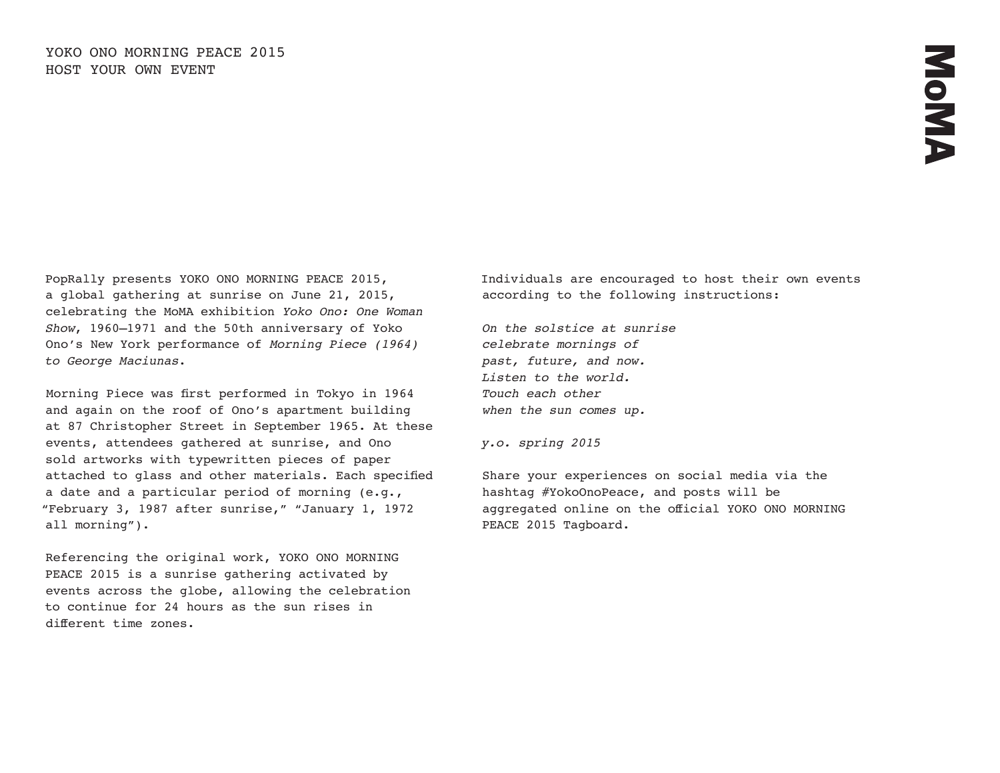PopRally presents YOKO ONO MORNING PEACE 2015, a global gathering at sunrise on June 21, 2015, celebrating the MoMA exhibition *Yoko Ono: One Woman Show*, 1960–1971 and the 50th anniversary of Yoko Ono's New York performance of *Morning Piece (1964) to George Maciunas*.

Morning Piece was first performed in Tokyo in 1964 and again on the roof of Ono's apartment building at 87 Christopher Street in September 1965. At these events, attendees gathered at sunrise, and Ono sold artworks with typewritten pieces of paper attached to glass and other materials. Each specified a date and a particular period of morning (e.g., "February 3, 1987 after sunrise," "January 1, 1972 all morning").

Referencing the original work, YOKO ONO MORNING PEACE 2015 is a sunrise gathering activated by events across the globe, allowing the celebration to continue for 24 hours as the sun rises in different time zones.

Individuals are encouraged to host their own events according to the following instructions:

*On the solstice at sunrise celebrate mornings of past, future, and now. Listen to the world. Touch each other when the sun comes up.*

*y.o. spring 2015*

Share your experiences on social media via the hashtag #YokoOnoPeace, and posts will be aggregated online on the official YOKO ONO MORNING PEACE 2015 Tagboard.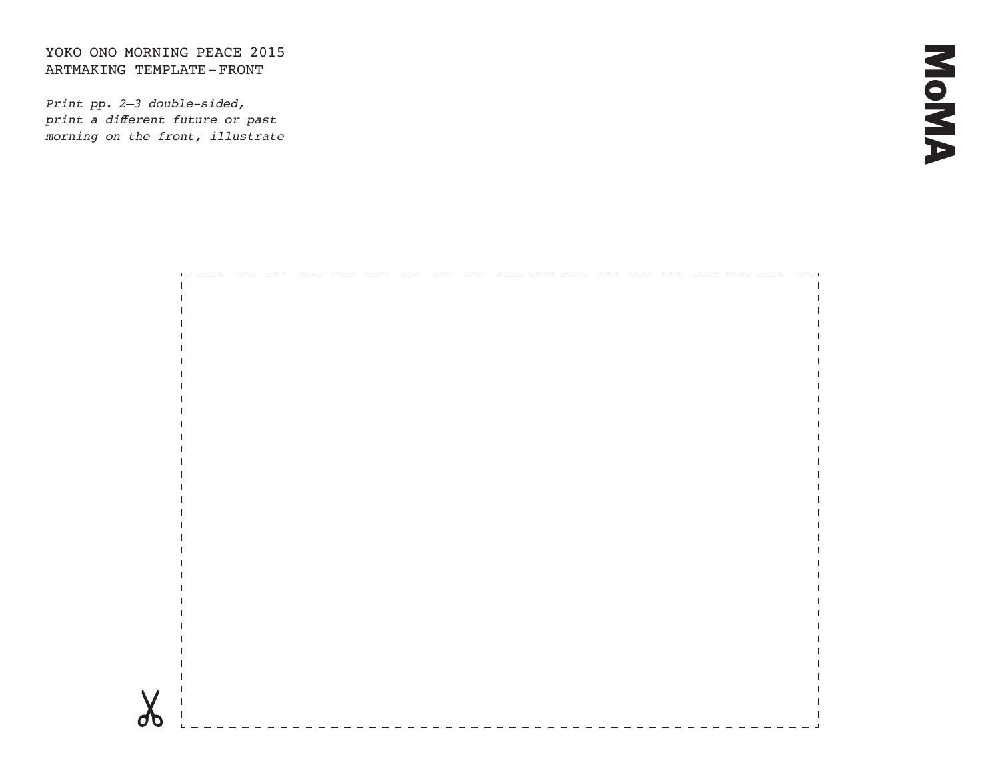## YOKO ONO MORNING PEACE 2015 ARTMAKING TEMPLATE-FRONT

*Print pp. 2—3 double-sided, print a different future or past morning on the front, illustrate*